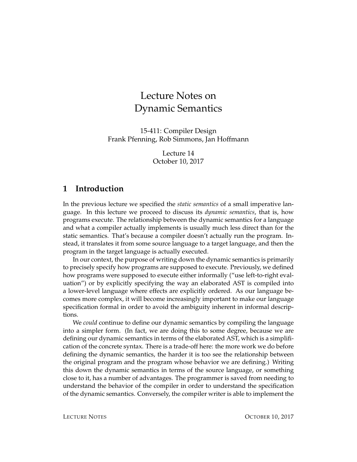# Lecture Notes on Dynamic Semantics

15-411: Compiler Design Frank Pfenning, Rob Simmons, Jan Hoffmann

> Lecture 14 October 10, 2017

#### **1 Introduction**

In the previous lecture we specified the *static semantics* of a small imperative language. In this lecture we proceed to discuss its *dynamic semantics*, that is, how programs execute. The relationship between the dynamic semantics for a language and what a compiler actually implements is usually much less direct than for the static semantics. That's because a compiler doesn't actually run the program. Instead, it translates it from some source language to a target language, and then the program in the target language is actually executed.

In our context, the purpose of writing down the dynamic semantics is primarily to precisely specify how programs are supposed to execute. Previously, we defined how programs were supposed to execute either informally ("use left-to-right evaluation") or by explicitly specifying the way an elaborated AST is compiled into a lower-level language where effects are explicitly ordered. As our language becomes more complex, it will become increasingly important to make our language specification formal in order to avoid the ambiguity inherent in informal descriptions.

We *could* continue to define our dynamic semantics by compiling the language into a simpler form. (In fact, we are doing this to some degree, because we are defining our dynamic semantics in terms of the elaborated AST, which is a simplification of the concrete syntax. There is a trade-off here: the more work we do before defining the dynamic semantics, the harder it is too see the relationship between the original program and the program whose behavior we are defining.) Writing this down the dynamic semantics in terms of the source language, or something close to it, has a number of advantages. The programmer is saved from needing to understand the behavior of the compiler in order to understand the specification of the dynamic semantics. Conversely, the compiler writer is able to implement the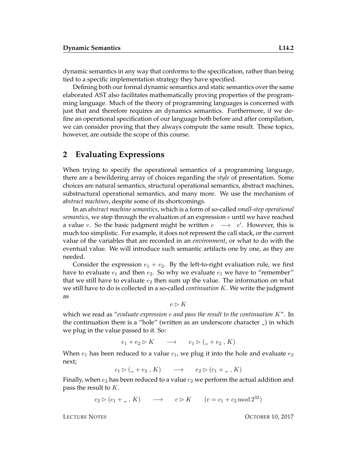dynamic semantics in any way that conforms to the specification, rather than being tied to a specific implementation strategy they have specified.

Defining both our formal dynamic semantics and static semantics over the same elaborated AST also facilitates mathematically proving properties of the programming language. Much of the theory of programming languages is concerned with just that and therefore requires an dynamics semantics. Furthermore, if we define an operational specification of our language both before and after compilation, we can consider proving that they always compute the same result. These topics, however, are outside the scope of this course.

#### **2 Evaluating Expressions**

When trying to specify the operational semantics of a programming language, there are a bewildering array of choices regarding the *style* of presentation. Some choices are natural semantics, structural operational semantics, abstract machines, substructural operational semantics, and many more. We use the mechanism of *abstract machines*, despite some of its shortcomings.

In an *abstract machine semantics*, which is a form of so-called *small-step operational semantics*, we step through the evaluation of an expression  $e$  until we have reached a value v. So the basic judgment might be written  $e \rightarrow e'$ . However, this is much too simplistic. For example, it does not represent the call stack, or the current value of the variables that are recorded in an *environment*, or what to do with the eventual value. We will introduce such semantic artifacts one by one, as they are needed.

Consider the expression  $e_1 + e_2$ . By the left-to-right evaluation rule, we first have to evaluate  $e_1$  and then  $e_2$ . So why we evaluate  $e_1$  we have to "remember" that we still have to evaluate  $e_2$  then sum up the value. The information on what we still have to do is collected in a so-called *continuation* K. We write the judgment as

 $e \triangleright K$ 

which we read as "*evaluate expression* e *and pass the result to the continuation* K". In the continuation there is a "hole" (written as an underscore character \_) in which we plug in the value passed to it. So:

 $e_1 + e_2 \triangleright K \longrightarrow e_1 \triangleright (\_ + e_2, K)$ 

When  $e_1$  has been reduced to a value  $c_1$ , we plug it into the hole and evaluate  $e_2$ next;

$$
c_1 \triangleright (\underline{\hspace{1cm}} + e_2, K) \longrightarrow e_2 \triangleright (c_1 + \underline{\hspace{1cm}}, K)
$$

Finally, when  $e_2$  has been reduced to a value  $c_2$  we perform the actual addition and pass the result to  $K$ .

 $c_2 \triangleright (c_1 + \square, K) \longrightarrow c \triangleright K \quad (c = c_1 + c_2 \mod 2^{32})$ 

LECTURE NOTES **OCTOBER 10, 2017**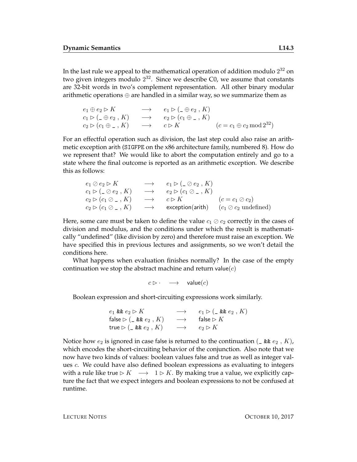In the last rule we appeal to the mathematical operation of addition modulo  $2^{32}$  on two given integers modulo  $2^{32}$ . Since we describe C0, we assume that constants are 32-bit words in two's complement representation. All other binary modular arithmetic operations ⊕ are handled in a similar way, so we summarize them as

```
e_1 \oplus e_2 \triangleright K \longrightarrow e_1 \triangleright (\_ \oplus e_2, K)c_1 \triangleright (\_ \oplus e_2, K) \longrightarrow e_2 \triangleright (c_1 \oplus \_ , K)c_2 \triangleright (c_1 \oplus \_ , K) \longrightarrow c \triangleright K \qquad \qquad (c = c_1 \oplus c_2 \bmod 2^{32})
```
For an effectful operation such as division, the last step could also raise an arithmetic exception arith (SIGFPE on the x86 architecture family, numbered 8). How do we represent that? We would like to abort the computation entirely and go to a state where the final outcome is reported as an arithmetic exception. We describe this as follows:

```
e_1 \oslash e_2 \triangleright K \longrightarrow e_1 \triangleright (\_ \oslash e_2, K)c_1 \triangleright (\_ \oslash e_2 \,, K) \quad \longrightarrow \quad e_2 \triangleright (c_1 \oslash \_ \ , K)c_2 \triangleright (c_1 \oslash \_ , K) \rightarrow c \triangleright K (c = c_1 \oslash c_2)c_2 \triangleright (c_1 \oslash \_ , K) \longrightarrow exception(arith) (c_1 \oslash c_2 \text{ undefined})
```
Here, some care must be taken to define the value  $c_1 \oslash c_2$  correctly in the cases of division and modulus, and the conditions under which the result is mathematically "undefined" (like division by zero) and therefore must raise an exception. We have specified this in previous lectures and assignments, so we won't detail the conditions here.

What happens when evaluation finishes normally? In the case of the empty continuation we stop the abstract machine and return value $(c)$ 

 $c \triangleright \cdot \quad \longrightarrow \quad \text{value}(c)$ 

Boolean expression and short-circuiting expressions work similarly.

 $e_1$  &&  $e_2 \triangleright K$   $\longrightarrow$   $e_1 \triangleright (\_ \& e_2, K)$ false  $\triangleright$  (\_ &&  $e_2$  ,  $K$ )  $\longrightarrow$  false  $\triangleright$   $K$ true  $\triangleright$  (\_ &&  $e_2$  , K)  $\longrightarrow$   $e_2 \triangleright K$ 

Notice how  $e_2$  is ignored in case false is returned to the continuation  $(\underline{\ } k \underline{\ } e_2, K)$ , which encodes the short-circuiting behavior of the conjunction. Also note that we now have two kinds of values: boolean values false and true as well as integer values c. We could have also defined boolean expressions as evaluating to integers with a rule like true  $\triangleright K \rightarrow 1 \triangleright K$ . By making true a value, we explicitly capture the fact that we expect integers and boolean expressions to not be confused at runtime.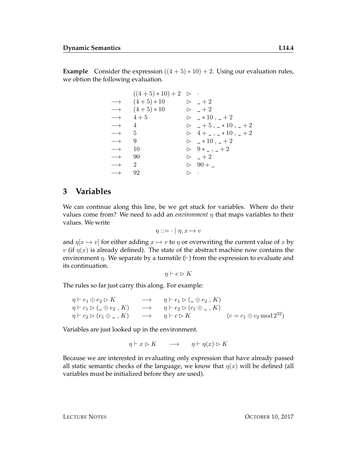**Example** Consider the expression  $((4 + 5) * 10) + 2$ . Using our evaluation rules, we obtion the following evaluation.

|                      | $((4+5)*10)+2$ $\triangleright$ $\cdot$ |                    |                                         |
|----------------------|-----------------------------------------|--------------------|-----------------------------------------|
|                      | $\longrightarrow$ $(4+5)*10$            |                    | $\triangleright$ $-+2$                  |
|                      | $\longrightarrow$ $(4+5)*10$            |                    | $\triangleright$ $-+2$                  |
|                      | $\longrightarrow$ 4+5                   |                    | $\triangleright$ $\_ *10$ , $\_ +2$     |
| $\longrightarrow$ 4  |                                         |                    | $\triangleright$ $-+5$ , $-*10$ , $-+2$ |
| $\longrightarrow$ 5  |                                         |                    | $\triangleright$ 4+_,_*10,_+2           |
| $\longrightarrow$    | 9                                       |                    | $\triangleright$ $\_ *10$ , $\_ +2$     |
| $\longrightarrow$ 10 |                                         |                    | $\triangleright$ 9 * _ , _ + 2          |
| $\longrightarrow$ 90 |                                         |                    | $\triangleright$ $-+2$                  |
| $\longrightarrow$ 2  |                                         |                    | $\triangleright$ 90 + _                 |
| $\longrightarrow$    | 92                                      | $\triangleright$ . |                                         |

### **3 Variables**

We can continue along this line, be we get stuck for variables. Where do their values come from? We need to add an *environment*  $\eta$  that maps variables to their values. We write

$$
\eta ::= \cdot \mid \eta, x \mapsto v
$$

and  $\eta[x \mapsto v]$  for either adding  $x \mapsto v$  to  $\eta$  or overwriting the current value of x by v (if  $\eta(x)$  is already defined). The state of the abstract machine now contains the environment  $\eta$ . We separate by a turnstile  $(+)$  from the expression to evaluate and its continuation.

$$
\eta \vdash e \rhd K
$$

The rules so far just carry this along. For example:

$$
\begin{array}{lll}\n\eta \vdash e_1 \oplus e_2 \rhd K & \longrightarrow & \eta \vdash e_1 \rhd (\_ \oplus e_2 \,, K) \\
\eta \vdash c_1 \rhd (\_ \oplus e_2 \,, K) & \longrightarrow & \eta \vdash e_2 \rhd (c_1 \oplus \_ \,, K) \\
\eta \vdash c_2 \rhd (c_1 \oplus \_ \,, K) & \longrightarrow & \eta \vdash c \rhd K\n\end{array}\n\quad (c = c_1 \oplus c_2 \mod 2^{32})
$$

Variables are just looked up in the environment.

$$
\eta \vdash x \rhd K \qquad \longrightarrow \qquad \eta \vdash \eta(x) \rhd K
$$

Because we are interested in evaluating only expression that have already passed all static semantic checks of the language, we know that  $\eta(x)$  will be defined (all variables must be initialized before they are used).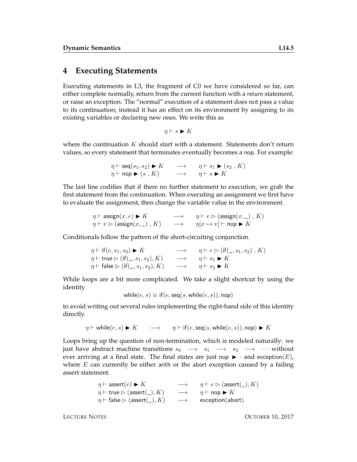#### **4 Executing Statements**

Executing statements in L3, the fragment of C0 we have considered so far, can either complete normally, return from the current function with a return statement, or raise an exception. The "normal" execution of a statement does not pass a value to its continuation; instead it has an effect on its environment by assigning to its existing variables or declaring new ones. We write this as

$$
\eta \vdash s \blacktriangleright K
$$

where the continuation  $K$  should start with a statement. Statements don't return values, so every statement that terminates eventually becomes a nop. For example:

$$
\eta \vdash \text{seq}(s_1, s_2) \blacktriangleright K \longrightarrow \eta \vdash s_1 \blacktriangleright (s_2, K)
$$
  

$$
\eta \vdash \text{nop} \blacktriangleright (s, K) \longrightarrow \eta \vdash s \blacktriangleright K
$$

The last line codifies that if there no further statement to execution, we grab the first statement from the continuation. When executing an assignment we first have to evaluate the assignment, then change the variable value in the environment.

$$
\begin{array}{ccc}\n\eta \vdash \mathsf{assign}(x, e) \blacktriangleright K & \longrightarrow & \eta \vdash e \rhd (\mathsf{assign}(x, \_) \, , K) \\
\eta \vdash v \rhd (\mathsf{assign}(x, \_) \, , K) & \longrightarrow & \eta[x \mapsto v] \vdash \mathsf{nop} \blacktriangleright K\n\end{array}
$$

Conditionals follow the pattern of the short-circuiting conjunction.

$$
\eta \vdash \text{if } (e, s_1, s_2) \blacktriangleright K \longrightarrow \eta \vdash e \triangleright (\text{if } (\_, s_1, s_2), K) \gamma \vdash \text{true} \triangleright (\text{if } (\_, s_1, s_2), K) \longrightarrow \eta \vdash s_1 \blacktriangleright K \eta \vdash \text{false} \triangleright (\text{if } (\_, s_1, s_2), K) \longrightarrow \eta \vdash s_2 \blacktriangleright K
$$

While loops are a bit more complicated. We take a slight shortcut by using the identity

while
$$
(e, s) \equiv \text{if}(e, \text{seq}(s, \text{while}(e, s)), \text{nop})
$$

to avoid writing out several rules implementing the right-hand side of this identity directly.

$$
\eta \vdash \text{while}(e, s) \blacktriangleright K \qquad \longrightarrow \qquad \eta \vdash \text{if}(e, \text{seq}(s, \text{while}(e, s)), \text{nop}) \blacktriangleright K
$$

Loops bring up the question of non-termination, which is modeled naturally: we just have abstract machine transitions  $s_0 \rightarrow s_1 \rightarrow s_2 \rightarrow \cdots$  without ever arriving at a final state. The final states are just nop  $\blacktriangleright$  · and exception(E), where  $E$  can currently be either arith or the abort exception caused by a failing assert statement.

$$
\eta \vdash \text{assert}(e) \blacktriangleright K \longrightarrow \eta \vdash e \triangleright (\text{assert}(\_) , K) \eta \vdash \text{true} \triangleright (\text{assert}(\_) , K) \longrightarrow \eta \vdash \text{nop} \blacktriangleright K \eta \vdash \text{false} \triangleright (\text{assert}(\_) , K) \longrightarrow \text{exception}(\text{abort})
$$

LECTURE NOTES OCTOBER 10, 2017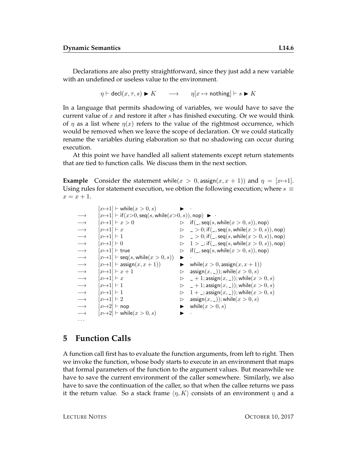Declarations are also pretty straightforward, since they just add a new variable with an undefined or useless value to the environment.

 $\eta \vdash \text{decl}(x, \tau, s) \blacktriangleright K \longrightarrow \eta[x \mapsto \text{nothing} \mid x \models s \blacktriangleright K$ 

In a language that permits shadowing of variables, we would have to save the current value of  $x$  and restore it after  $s$  has finished executing. Or we would think of  $\eta$  as a list where  $\eta(x)$  refers to the value of the rightmost occurrence, which would be removed when we leave the scope of declaration. Or we could statically rename the variables during elaboration so that no shadowing can occur during execution.

At this point we have handled all salient statements except return statements that are tied to function calls. We discuss them in the next section.

**Example** Consider the statement while( $x > 0$ , assign( $x, x + 1$ )) and  $\eta = [x \mapsto 1]$ . Using rules for statement execution, we obtion the following execution; where  $s \equiv$  $x = x + 1$ .

```
[x \mapsto 1] \vdash \text{while}(x > 0, s) \longrightarrow[x \mapsto 1] \vdash \text{if } (x > 0, \text{seq}(s, \text{while}(x > 0, s)), \text{nop}) \blacktriangleright→ [x\rightarrow 1] \vdash x > 0<br>
\rightarrow [x\rightarrow 1] \vdash x<br>
\rightarrow [x\rightarrow 1] \vdash 1<br>
\rightarrow [x\rightarrow 1] \vdash 1<br>
\rightarrow [x\rightarrow 1] \vdash 1<br>
\rightarrow [x\rightarrow 1] \vdash 1<br>
\rightarrow [x\rightarrow 1] \vdash 1<br>
\rightarrow [x\rightarrow 1] \vdash \text{seq}(s, \text{while}(x > 0, s))<br>
\rightarrow [x\rightarrow 1] \vdash \text{seq}(s, \text{while}(x > 0, s))<br>
\rightarrow [x\rightarrow 1] \vdash \text{seq}(s, \[x \mapsto 1] \vdash x \triangleright \square > 0; if (\square, \text{seq}(s, \text{while}(x > 0, s)), \text{nop})[x \mapsto 1] \vdash 1 \qquad \qquad \qquad \triangleright \qquad 2 > 0; if (\square, \text{seq}(s, \text{while}(x > 0, s)), \text{nop})[x \mapsto 1] \vdash 0 \Rightarrow 1 > \frac{1}{2}; if(_, seq(s, while(x > 0, s)), nop)
                [x \mapsto 1] \vdash true \Rightarrow if(\_,seq(s, \text{while}(x > 0, s)), \text{nop})[x \mapsto 1] \vdash \mathsf{seq}(s, \mathsf{while}(x > 0, s)) \quad \blacktriangleright[x \mapsto 1] \vdash assign(x, x + 1) \qquad \qquad while(x > 0, \text{assign}(x, x + 1))[x \mapsto 1] \vdash x + 1 \triangleright assign(x, \_)); while(x > 0, s)[x \mapsto 1] \vdash x \triangleright \_ + 1; \text{assign}(x, \_)); while(x > 0, s)[x \mapsto 1] \vdash 1 \qquad \qquad \qquad \triangleright \quad \_ + 1; \text{assign}(x, \_)); while(x > 0, s)[x \mapsto 1] \vdash 1 \Rightarrow 1 + \square; assign(x, \square); while(x > 0, s)[x \mapsto 1] \vdash 2 \qquad \qquad \triangleright \quad \text{assign}(x, \_)); while(x > 0, s)\rightarrow [x \rightarrow 2] \vdash nop [x \rightarrow 0. s) while(x > 0, s)[x \mapsto 2] \vdash \text{while}(x > 0, s) \blacktriangleright· · ·
```
#### **5 Function Calls**

A function call first has to evaluate the function arguments, from left to right. Then we invoke the function, whose body starts to execute in an environment that maps that formal parameters of the function to the argument values. But meanwhile we have to save the current environment of the caller somewhere. Similarly, we also have to save the continuation of the caller, so that when the callee returns we pass it the return value. So a stack frame  $\langle \eta, K \rangle$  consists of an environment  $\eta$  and a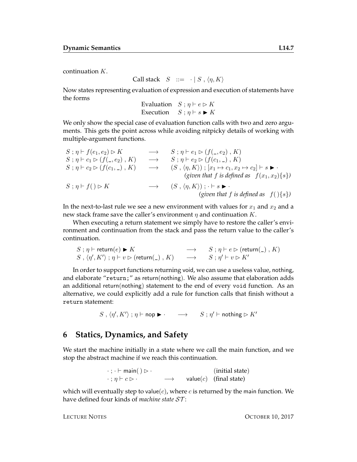continuation K.

Call stack  $S ::= \cdot | S, \langle \eta, K \rangle$ 

Now states representing evaluation of expression and execution of statements have the forms

Evaluation  $S : \eta \vdash e \triangleright K$ Execution  $S : \eta \vdash s \blacktriangleright K$ 

We only show the special case of evaluation function calls with two and zero arguments. This gets the point across while avoiding nitpicky details of working with multiple-argument functions.

S ; η ` f(e1, e2) B K −→ S ; η ` e<sup>1</sup> B (f(\_, e2) , K) S ; η ` c<sup>1</sup> B (f(\_, e2) , K) −→ S ; η ` e<sup>2</sup> B (f(c1, \_) , K) S ; η ` c<sup>2</sup> B (f(c1, \_) , K) −→ (S , hη, Ki) ; [x<sup>1</sup> 7→ c1, x<sup>2</sup> 7→ c2] ` s I · *(given that* f *is defined as* f(x1, x2){s}*)* S ; η ` f( ) B K −→ (S , hη, Ki) ; · ` s I · *(given that* f *is defined as* f( ){s}*)*

In the next-to-last rule we see a new environment with values for  $x_1$  and  $x_2$  and a new stack frame save the caller's environment  $\eta$  and continuation  $K$ .

When executing a return statement we simply have to restore the caller's environment and continuation from the stack and pass the return value to the caller's continuation.

$$
S; \eta \vdash \text{return}(e) \blacktriangleright K \longrightarrow S; \eta \vdash e \triangleright (\text{return}(\_), K)
$$
  

$$
S, \langle \eta', K' \rangle; \eta \vdash v \triangleright (\text{return}(\_), K) \longrightarrow S; \eta' \vdash v \triangleright K'
$$

In order to support functions returning void, we can use a useless value, nothing, and elaborate "return;" as return(nothing). We also assume that elaboration adds an additional return(nothing) statement to the end of every void function. As an alternative, we could explicitly add a rule for function calls that finish without a return statement:

 $S, \langle \eta', K' \rangle; \eta \vdash \mathsf{nop} \blacktriangleright \cdot \quad \longrightarrow \quad S; \eta' \vdash \mathsf{nothing}$  is  $K'$ 

#### **6 Statics, Dynamics, and Safety**

We start the machine initially in a state where we call the main function, and we stop the abstract machine if we reach this continuation.

$$
\cdot ; \cdot \vdash \text{main}() \rhd \cdot \qquad \qquad (\text{initial state})
$$
\n
$$
\cdot ; \eta \vdash c \rhd \cdot \qquad \longrightarrow \qquad \text{value}(c) \quad (\text{final state})
$$

which will eventually step to value( $c$ ), where  $c$  is returned by the main function. We have defined four kinds of *machine state* ST :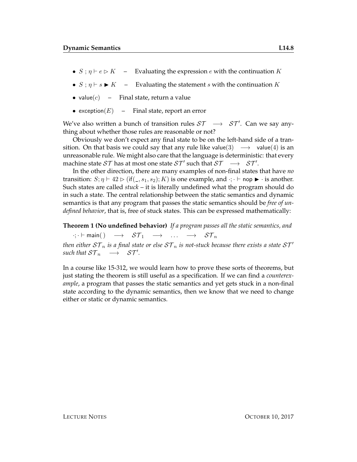- $S : \eta \vdash e \triangleright K$  Evaluating the expression e with the continuation K
- $S$ ;  $\eta \vdash s$   $K$  Evaluating the statement s with the continuation K
- value $(c)$  Final state, return a value
- exception $(E)$  Final state, report an error

We've also written a bunch of transition rules  $ST \rightarrow ST'$ . Can we say anything about whether those rules are reasonable or not?

Obviously we don't expect any final state to be on the left-hand side of a transition. On that basis we could say that any rule like value(3)  $\rightarrow$  value(4) is an unreasonable rule. We might also care that the language is deterministic: that every machine state  $ST$  has at most one state  $ST'$  such that  $ST \rightarrow ST'.$ 

In the other direction, there are many examples of non-final states that have *no* transition:  $S; \eta \vdash 42 \rhd (if(\_, s_1, s_2); K)$  is one example, and  $\cdot; \cdot \vdash$  nop  $\blacktriangleright \cdot$  is another. Such states are called *stuck* – it is literally undefined what the program should do in such a state. The central relationship between the static semantics and dynamic semantics is that any program that passes the static semantics should be *free of undefined behavior*, that is, free of stuck states. This can be expressed mathematically:

#### **Theorem 1 (No undefined behavior)** *If a program passes all the static semantics, and*

 $\cdot; \cdot \vdash \text{main}() \rightarrow \mathcal{ST}_1 \rightarrow \dots \rightarrow \mathcal{ST}_n$ *then either*  $ST_n$  *is a final state or else*  $ST_n$  *is not-stuck because there exists a state*  $ST'$  $\mathit{such that } ST_n \quad \longrightarrow \quad \mathcal{ST}'.$ 

In a course like 15-312, we would learn how to prove these sorts of theorems, but just stating the theorem is still useful as a specification. If we can find a *counterexample*, a program that passes the static semantics and yet gets stuck in a non-final state according to the dynamic semantics, then we know that we need to change either or static or dynamic semantics.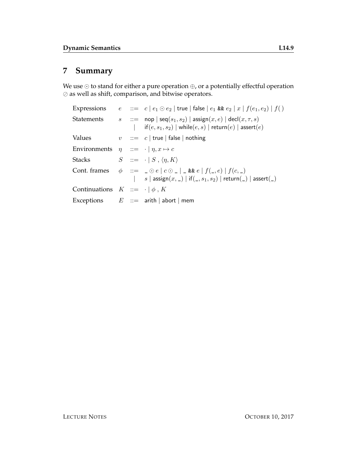## **7 Summary**

We use  $\odot$  to stand for either a pure operation  $\oplus$ , or a potentially effectful operation  $\oslash$  as well as shift, comparison, and bitwise operators.

|                                                          |  | Expressions $e ::= c   e_1 \odot e_2  $ true   false $  e_1 \& e_2   x   f(e_1, e_2)   f()$                                                                                                                     |
|----------------------------------------------------------|--|-----------------------------------------------------------------------------------------------------------------------------------------------------------------------------------------------------------------|
| <b>Statements</b>                                        |  | $s$ : $:=$ nop $  \text{seq}(s_1, s_2)  $ assign $(x, e)  $ decl $(x, \tau, s)$<br>$\textsf{if}(e,s_1,s_2) \mid \textsf{while}(e,s) \mid \textsf{return}(e) \mid \textsf{assert}(e)$                            |
| Values                                                   |  | $v$ : $c$   true   false   nothing                                                                                                                                                                              |
| Environments $\eta$ ::= $\cdot$   $\eta$ , $x \mapsto c$ |  |                                                                                                                                                                                                                 |
| Stacks                                                   |  | $S \quad ::= \quad \cdot \mid S \, , \, \langle \eta, K \rangle$                                                                                                                                                |
|                                                          |  | Cont. frames $\phi ::= \Box \odot e \mid c \odot \Box \Box$ & $e \mid f(\Box, e) \mid f(c, \Box)$<br>  $s \mid \text{assign}(x, \_) \mid \text{if}(\_, s_1, s_2) \mid \text{return}(\_) \mid \text{assert}(\_)$ |
| Continuations $K ::= \cdot   \phi, K$                    |  |                                                                                                                                                                                                                 |
|                                                          |  | Exceptions $E ::=$ arith   abort   mem                                                                                                                                                                          |